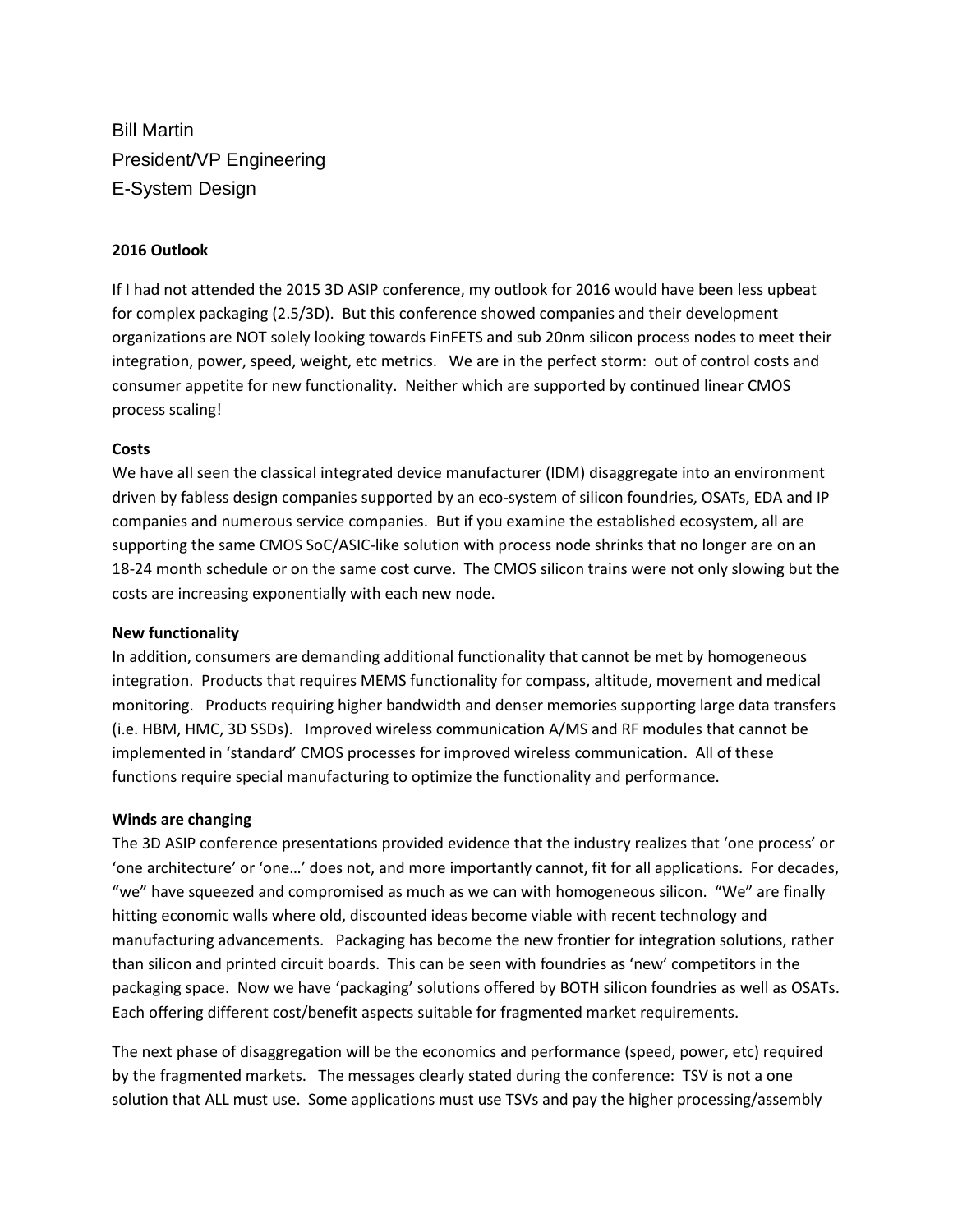Bill Martin President/VP Engineering E-System Design

## **2016 Outlook**

If I had not attended the 2015 3D ASIP conference, my outlook for 2016 would have been less upbeat for complex packaging (2.5/3D). But this conference showed companies and their development organizations are NOT solely looking towards FinFETS and sub 20nm silicon process nodes to meet their integration, power, speed, weight, etc metrics. We are in the perfect storm: out of control costs and consumer appetite for new functionality. Neither which are supported by continued linear CMOS process scaling!

## **Costs**

We have all seen the classical integrated device manufacturer (IDM) disaggregate into an environment driven by fabless design companies supported by an eco-system of silicon foundries, OSATs, EDA and IP companies and numerous service companies. But if you examine the established ecosystem, all are supporting the same CMOS SoC/ASIC-like solution with process node shrinks that no longer are on an 18-24 month schedule or on the same cost curve. The CMOS silicon trains were not only slowing but the costs are increasing exponentially with each new node.

## **New functionality**

In addition, consumers are demanding additional functionality that cannot be met by homogeneous integration. Products that requires MEMS functionality for compass, altitude, movement and medical monitoring. Products requiring higher bandwidth and denser memories supporting large data transfers (i.e. HBM, HMC, 3D SSDs). Improved wireless communication A/MS and RF modules that cannot be implemented in 'standard' CMOS processes for improved wireless communication. All of these functions require special manufacturing to optimize the functionality and performance.

## **Winds are changing**

The 3D ASIP conference presentations provided evidence that the industry realizes that 'one process' or 'one architecture' or 'one…' does not, and more importantly cannot, fit for all applications. For decades, "we" have squeezed and compromised as much as we can with homogeneous silicon. "We" are finally hitting economic walls where old, discounted ideas become viable with recent technology and manufacturing advancements. Packaging has become the new frontier for integration solutions, rather than silicon and printed circuit boards. This can be seen with foundries as 'new' competitors in the packaging space. Now we have 'packaging' solutions offered by BOTH silicon foundries as well as OSATs. Each offering different cost/benefit aspects suitable for fragmented market requirements.

The next phase of disaggregation will be the economics and performance (speed, power, etc) required by the fragmented markets. The messages clearly stated during the conference: TSV is not a one solution that ALL must use. Some applications must use TSVs and pay the higher processing/assembly